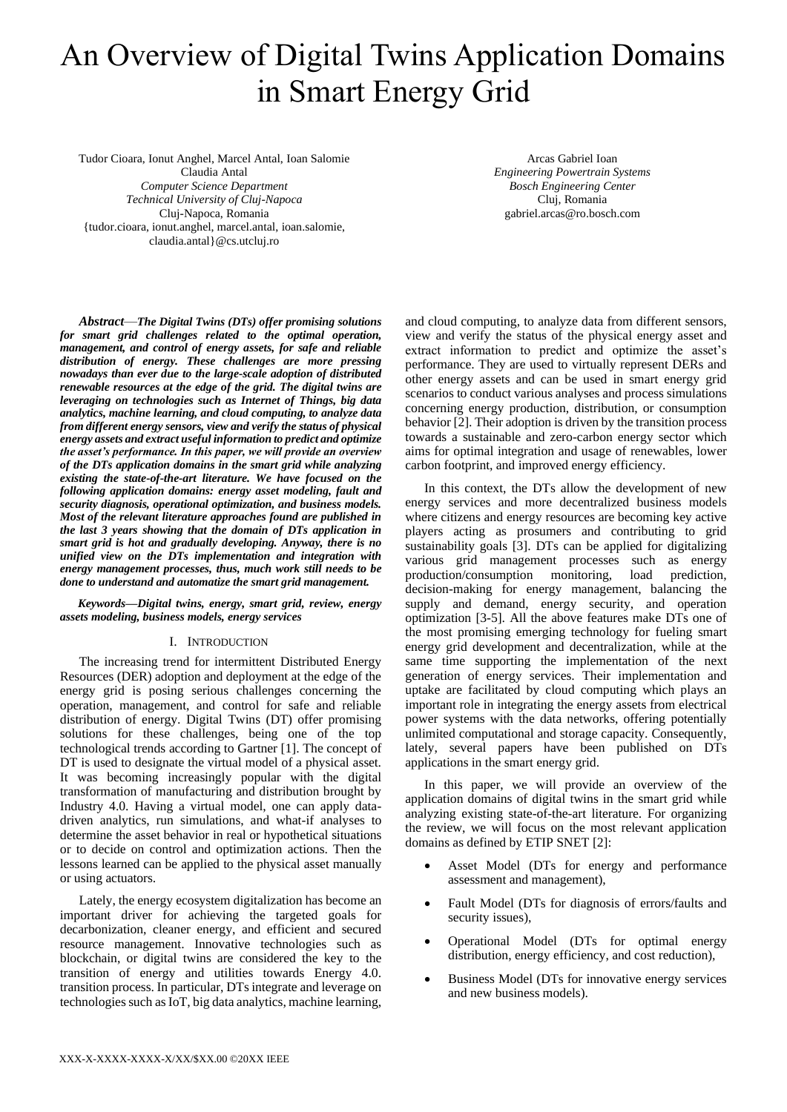# An Overview of Digital Twins Application Domains in Smart Energy Grid

Tudor Cioara, Ionut Anghel, Marcel Antal, Ioan Salomie Claudia Antal *Computer Science Department Technical University of Cluj-Napoca* Cluj-Napoca, Romania {tudor.cioara, ionut.anghel, marcel.antal, ioan.salomie, claudia.antal}@cs.utcluj.ro

Arcas Gabriel Ioan *Engineering Powertrain Systems Bosch Engineering Center*  Cluj, Romania gabriel.arcas@ro.bosch.com

*Abstract*—*The Digital Twins (DTs) offer promising solutions for smart grid challenges related to the optimal operation, management, and control of energy assets, for safe and reliable distribution of energy. These challenges are more pressing nowadays than ever due to the large-scale adoption of distributed renewable resources at the edge of the grid. The digital twins are leveraging on technologies such as Internet of Things, big data analytics, machine learning, and cloud computing, to analyze data from different energy sensors, view and verify the status of physical energy assets and extract useful information to predict and optimize the asset's performance. In this paper, we will provide an overview of the DTs application domains in the smart grid while analyzing existing the state-of-the-art literature. We have focused on the following application domains: energy asset modeling, fault and security diagnosis, operational optimization, and business models. Most of the relevant literature approaches found are published in the last 3 years showing that the domain of DTs application in smart grid is hot and gradually developing. Anyway, there is no unified view on the DTs implementation and integration with energy management processes, thus, much work still needs to be done to understand and automatize the smart grid management.*

### *Keywords—Digital twins, energy, smart grid, review, energy assets modeling, business models, energy services*

## I. INTRODUCTION

The increasing trend for intermittent Distributed Energy Resources (DER) adoption and deployment at the edge of the energy grid is posing serious challenges concerning the operation, management, and control for safe and reliable distribution of energy. Digital Twins (DT) offer promising solutions for these challenges, being one of the top technological trends according to Gartner [1]. The concept of DT is used to designate the virtual model of a physical asset. It was becoming increasingly popular with the digital transformation of manufacturing and distribution brought by Industry 4.0. Having a virtual model, one can apply datadriven analytics, run simulations, and what-if analyses to determine the asset behavior in real or hypothetical situations or to decide on control and optimization actions. Then the lessons learned can be applied to the physical asset manually or using actuators.

Lately, the energy ecosystem digitalization has become an important driver for achieving the targeted goals for decarbonization, cleaner energy, and efficient and secured resource management. Innovative technologies such as blockchain, or digital twins are considered the key to the transition of energy and utilities towards Energy 4.0. transition process. In particular, DTs integrate and leverage on technologies such as IoT, big data analytics, machine learning,

and cloud computing, to analyze data from different sensors, view and verify the status of the physical energy asset and extract information to predict and optimize the asset's performance. They are used to virtually represent DERs and other energy assets and can be used in smart energy grid scenarios to conduct various analyses and process simulations concerning energy production, distribution, or consumption behavior [2]. Their adoption is driven by the transition process towards a sustainable and zero-carbon energy sector which aims for optimal integration and usage of renewables, lower carbon footprint, and improved energy efficiency.

In this context, the DTs allow the development of new energy services and more decentralized business models where citizens and energy resources are becoming key active players acting as prosumers and contributing to grid sustainability goals [3]. DTs can be applied for digitalizing various grid management processes such as energy<br>production/consumption monitoring, load prediction. production/consumption monitoring, load decision-making for energy management, balancing the supply and demand, energy security, and operation optimization [3-5]. All the above features make DTs one of the most promising emerging technology for fueling smart energy grid development and decentralization, while at the same time supporting the implementation of the next generation of energy services. Their implementation and uptake are facilitated by cloud computing which plays an important role in integrating the energy assets from electrical power systems with the data networks, offering potentially unlimited computational and storage capacity. Consequently, lately, several papers have been published on DTs applications in the smart energy grid.

In this paper, we will provide an overview of the application domains of digital twins in the smart grid while analyzing existing state-of-the-art literature. For organizing the review, we will focus on the most relevant application domains as defined by ETIP SNET [2]:

- Asset Model (DTs for energy and performance assessment and management),
- Fault Model (DTs for diagnosis of errors/faults and security issues),
- Operational Model (DTs for optimal energy distribution, energy efficiency, and cost reduction),
- Business Model (DTs for innovative energy services and new business models).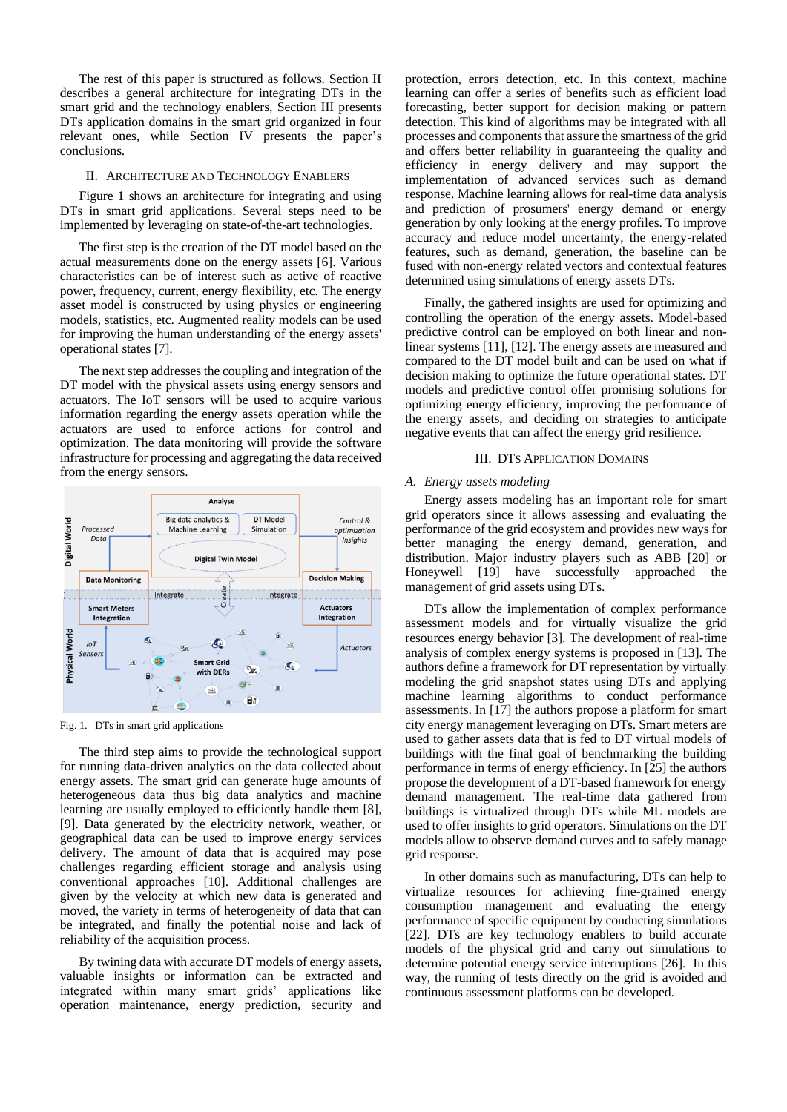The rest of this paper is structured as follows. Section II describes a general architecture for integrating DTs in the smart grid and the technology enablers, Section III presents DTs application domains in the smart grid organized in four relevant ones, while Section IV presents the paper's conclusions.

#### II. ARCHITECTURE AND TECHNOLOGY ENABLERS

Figure 1 shows an architecture for integrating and using DTs in smart grid applications. Several steps need to be implemented by leveraging on state-of-the-art technologies.

The first step is the creation of the DT model based on the actual measurements done on the energy assets [6]. Various characteristics can be of interest such as active of reactive power, frequency, current, energy flexibility, etc. The energy asset model is constructed by using physics or engineering models, statistics, etc. Augmented reality models can be used for improving the human understanding of the energy assets' operational states [7].

The next step addresses the coupling and integration of the DT model with the physical assets using energy sensors and actuators. The IoT sensors will be used to acquire various information regarding the energy assets operation while the actuators are used to enforce actions for control and optimization. The data monitoring will provide the software infrastructure for processing and aggregating the data received from the energy sensors.



Fig. 1. DTs in smart grid applications

The third step aims to provide the technological support for running data-driven analytics on the data collected about energy assets. The smart grid can generate huge amounts of heterogeneous data thus big data analytics and machine learning are usually employed to efficiently handle them [8], [9]. Data generated by the electricity network, weather, or geographical data can be used to improve energy services delivery. The amount of data that is acquired may pose challenges regarding efficient storage and analysis using conventional approaches [10]. Additional challenges are given by the velocity at which new data is generated and moved, the variety in terms of heterogeneity of data that can be integrated, and finally the potential noise and lack of reliability of the acquisition process.

By twining data with accurate DT models of energy assets, valuable insights or information can be extracted and integrated within many smart grids' applications like operation maintenance, energy prediction, security and

protection, errors detection, etc. In this context, machine learning can offer a series of benefits such as efficient load forecasting, better support for decision making or pattern detection. This kind of algorithms may be integrated with all processes and components that assure the smartness of the grid and offers better reliability in guaranteeing the quality and efficiency in energy delivery and may support the implementation of advanced services such as demand response. Machine learning allows for real-time data analysis and prediction of prosumers' energy demand or energy generation by only looking at the energy profiles. To improve accuracy and reduce model uncertainty, the energy-related features, such as demand, generation, the baseline can be fused with non-energy related vectors and contextual features determined using simulations of energy assets DTs.

Finally, the gathered insights are used for optimizing and controlling the operation of the energy assets. Model-based predictive control can be employed on both linear and nonlinear systems [11], [12]. The energy assets are measured and compared to the DT model built and can be used on what if decision making to optimize the future operational states. DT models and predictive control offer promising solutions for optimizing energy efficiency, improving the performance of the energy assets, and deciding on strategies to anticipate negative events that can affect the energy grid resilience.

## III. DTS APPLICATION DOMAINS

## *A. Energy assets modeling*

Energy assets modeling has an important role for smart grid operators since it allows assessing and evaluating the performance of the grid ecosystem and provides new ways for better managing the energy demand, generation, and distribution. Major industry players such as ABB [20] or Honeywell [19] have successfully approached the management of grid assets using DTs.

DTs allow the implementation of complex performance assessment models and for virtually visualize the grid resources energy behavior [3]. The development of real-time analysis of complex energy systems is proposed in [13]. The authors define a framework for DT representation by virtually modeling the grid snapshot states using DTs and applying machine learning algorithms to conduct performance assessments. In [17] the authors propose a platform for smart city energy management leveraging on DTs. Smart meters are used to gather assets data that is fed to DT virtual models of buildings with the final goal of benchmarking the building performance in terms of energy efficiency. In [25] the authors propose the development of a DT-based framework for energy demand management. The real-time data gathered from buildings is virtualized through DTs while ML models are used to offer insights to grid operators. Simulations on the DT models allow to observe demand curves and to safely manage grid response.

In other domains such as manufacturing, DTs can help to virtualize resources for achieving fine-grained energy consumption management and evaluating the energy performance of specific equipment by conducting simulations [22]. DTs are key technology enablers to build accurate models of the physical grid and carry out simulations to determine potential energy service interruptions [26]. In this way, the running of tests directly on the grid is avoided and continuous assessment platforms can be developed.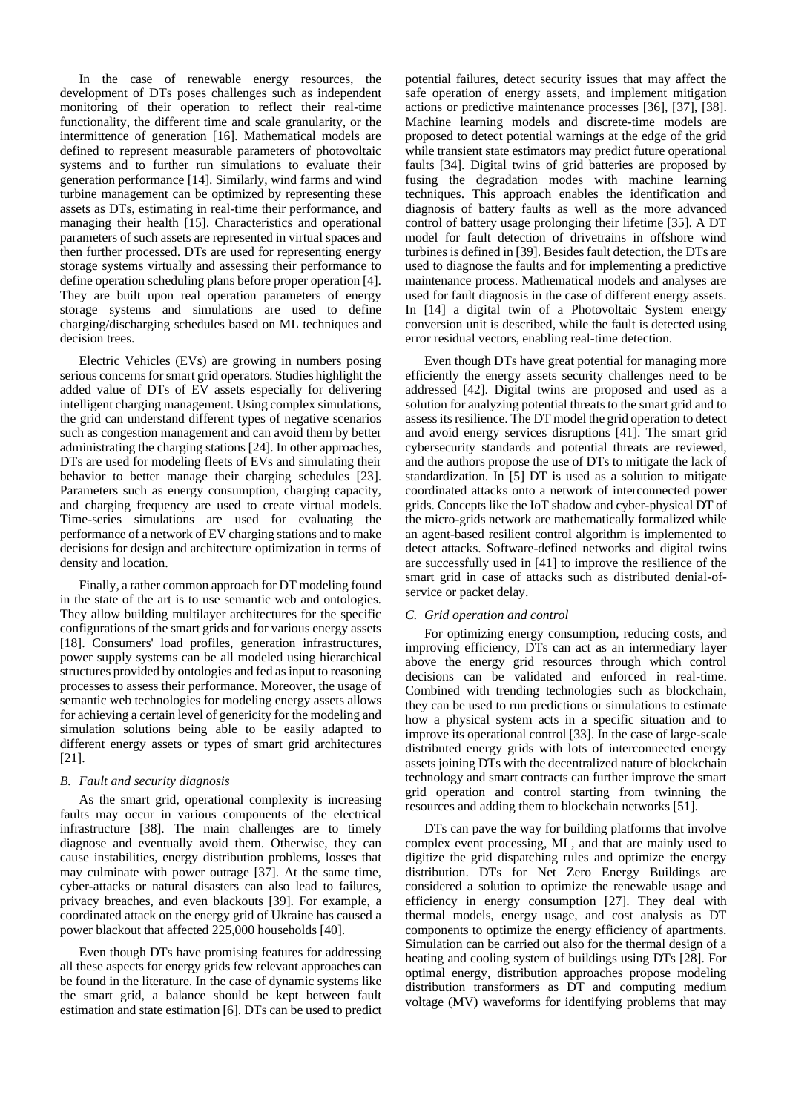In the case of renewable energy resources, the development of DTs poses challenges such as independent monitoring of their operation to reflect their real-time functionality, the different time and scale granularity, or the intermittence of generation [16]. Mathematical models are defined to represent measurable parameters of photovoltaic systems and to further run simulations to evaluate their generation performance [14]. Similarly, wind farms and wind turbine management can be optimized by representing these assets as DTs, estimating in real-time their performance, and managing their health [15]. Characteristics and operational parameters of such assets are represented in virtual spaces and then further processed. DTs are used for representing energy storage systems virtually and assessing their performance to define operation scheduling plans before proper operation [4]. They are built upon real operation parameters of energy storage systems and simulations are used to define charging/discharging schedules based on ML techniques and decision trees.

Electric Vehicles (EVs) are growing in numbers posing serious concerns for smart grid operators. Studies highlight the added value of DTs of EV assets especially for delivering intelligent charging management. Using complex simulations, the grid can understand different types of negative scenarios such as congestion management and can avoid them by better administrating the charging stations [24]. In other approaches, DTs are used for modeling fleets of EVs and simulating their behavior to better manage their charging schedules [23]. Parameters such as energy consumption, charging capacity, and charging frequency are used to create virtual models. Time-series simulations are used for evaluating the performance of a network of EV charging stations and to make decisions for design and architecture optimization in terms of density and location.

Finally, a rather common approach for DT modeling found in the state of the art is to use semantic web and ontologies. They allow building multilayer architectures for the specific configurations of the smart grids and for various energy assets [18]. Consumers' load profiles, generation infrastructures, power supply systems can be all modeled using hierarchical structures provided by ontologies and fed as input to reasoning processes to assess their performance. Moreover, the usage of semantic web technologies for modeling energy assets allows for achieving a certain level of genericity for the modeling and simulation solutions being able to be easily adapted to different energy assets or types of smart grid architectures [21].

## *B. Fault and security diagnosis*

As the smart grid, operational complexity is increasing faults may occur in various components of the electrical infrastructure [38]. The main challenges are to timely diagnose and eventually avoid them. Otherwise, they can cause instabilities, energy distribution problems, losses that may culminate with power outrage [37]. At the same time, cyber-attacks or natural disasters can also lead to failures, privacy breaches, and even blackouts [39]. For example, a coordinated attack on the energy grid of Ukraine has caused a power blackout that affected 225,000 households [40].

Even though DTs have promising features for addressing all these aspects for energy grids few relevant approaches can be found in the literature. In the case of dynamic systems like the smart grid, a balance should be kept between fault estimation and state estimation [6]. DTs can be used to predict potential failures, detect security issues that may affect the safe operation of energy assets, and implement mitigation actions or predictive maintenance processes [36], [37], [38]. Machine learning models and discrete-time models are proposed to detect potential warnings at the edge of the grid while transient state estimators may predict future operational faults [34]. Digital twins of grid batteries are proposed by fusing the degradation modes with machine learning techniques. This approach enables the identification and diagnosis of battery faults as well as the more advanced control of battery usage prolonging their lifetime [35]. A DT model for fault detection of drivetrains in offshore wind turbines is defined in [39]. Besides fault detection, the DTs are used to diagnose the faults and for implementing a predictive maintenance process. Mathematical models and analyses are used for fault diagnosis in the case of different energy assets. In [14] a digital twin of a Photovoltaic System energy conversion unit is described, while the fault is detected using error residual vectors, enabling real-time detection.

Even though DTs have great potential for managing more efficiently the energy assets security challenges need to be addressed [42]. Digital twins are proposed and used as a solution for analyzing potential threats to the smart grid and to assess its resilience. The DT model the grid operation to detect and avoid energy services disruptions [41]. The smart grid cybersecurity standards and potential threats are reviewed, and the authors propose the use of DTs to mitigate the lack of standardization. In [5] DT is used as a solution to mitigate coordinated attacks onto a network of interconnected power grids. Concepts like the IoT shadow and cyber-physical DT of the micro-grids network are mathematically formalized while an agent-based resilient control algorithm is implemented to detect attacks. Software-defined networks and digital twins are successfully used in [41] to improve the resilience of the smart grid in case of attacks such as distributed denial-ofservice or packet delay.

## *C. Grid operation and control*

For optimizing energy consumption, reducing costs, and improving efficiency, DTs can act as an intermediary layer above the energy grid resources through which control decisions can be validated and enforced in real-time. Combined with trending technologies such as blockchain, they can be used to run predictions or simulations to estimate how a physical system acts in a specific situation and to improve its operational control [33]. In the case of large-scale distributed energy grids with lots of interconnected energy assets joining DTs with the decentralized nature of blockchain technology and smart contracts can further improve the smart grid operation and control starting from twinning the resources and adding them to blockchain networks [51].

DTs can pave the way for building platforms that involve complex event processing, ML, and that are mainly used to digitize the grid dispatching rules and optimize the energy distribution. DTs for Net Zero Energy Buildings are considered a solution to optimize the renewable usage and efficiency in energy consumption [27]. They deal with thermal models, energy usage, and cost analysis as DT components to optimize the energy efficiency of apartments. Simulation can be carried out also for the thermal design of a heating and cooling system of buildings using DTs [28]. For optimal energy, distribution approaches propose modeling distribution transformers as DT and computing medium voltage (MV) waveforms for identifying problems that may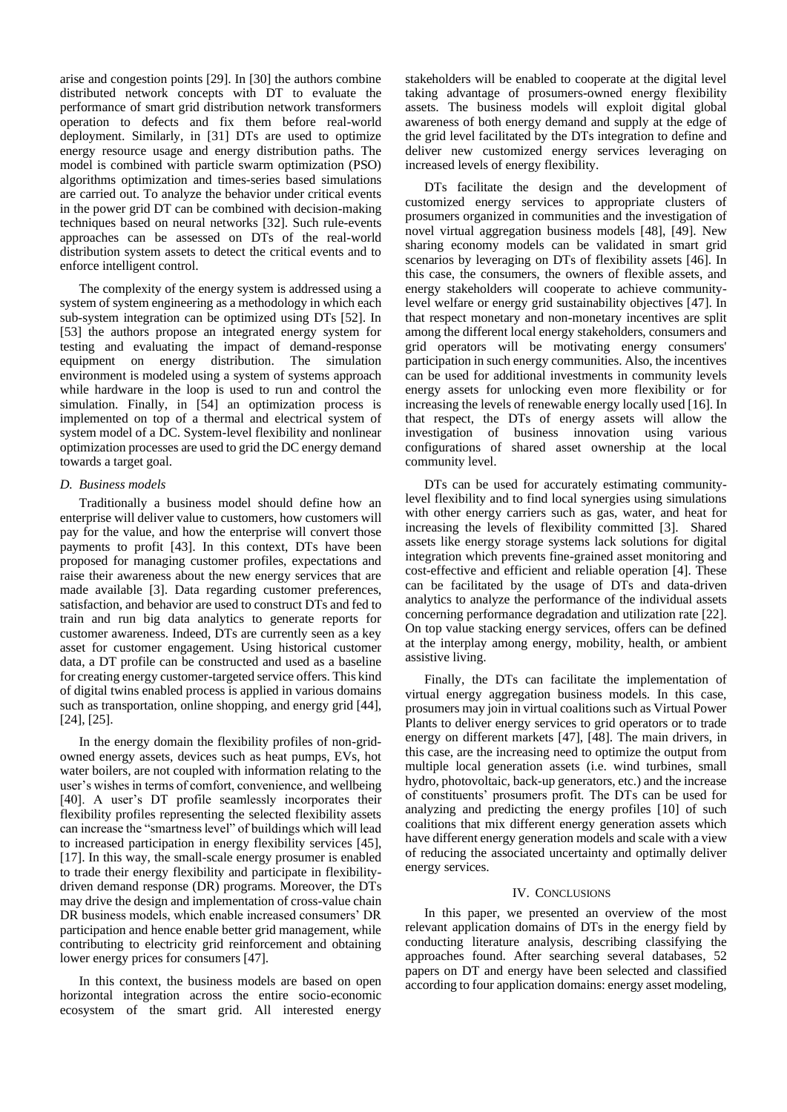arise and congestion points [29]. In [30] the authors combine distributed network concepts with DT to evaluate the performance of smart grid distribution network transformers operation to defects and fix them before real-world deployment. Similarly, in [31] DTs are used to optimize energy resource usage and energy distribution paths. The model is combined with particle swarm optimization (PSO) algorithms optimization and times-series based simulations are carried out. To analyze the behavior under critical events in the power grid DT can be combined with decision-making techniques based on neural networks [32]. Such rule-events approaches can be assessed on DTs of the real-world distribution system assets to detect the critical events and to enforce intelligent control.

The complexity of the energy system is addressed using a system of system engineering as a methodology in which each sub-system integration can be optimized using DTs [52]. In [53] the authors propose an integrated energy system for testing and evaluating the impact of demand-response equipment on energy distribution. The simulation environment is modeled using a system of systems approach while hardware in the loop is used to run and control the simulation. Finally, in [54] an optimization process is implemented on top of a thermal and electrical system of system model of a DC. System-level flexibility and nonlinear optimization processes are used to grid the DC energy demand towards a target goal.

## *D. Business models*

Traditionally a business model should define how an enterprise will deliver value to customers, how customers will pay for the value, and how the enterprise will convert those payments to profit [43]. In this context, DTs have been proposed for managing customer profiles, expectations and raise their awareness about the new energy services that are made available [3]. Data regarding customer preferences, satisfaction, and behavior are used to construct DTs and fed to train and run big data analytics to generate reports for customer awareness. Indeed, DTs are currently seen as a key asset for customer engagement. Using historical customer data, a DT profile can be constructed and used as a baseline for creating energy customer-targeted service offers. This kind of digital twins enabled process is applied in various domains such as transportation, online shopping, and energy grid [44], [24], [25].

In the energy domain the flexibility profiles of non-gridowned energy assets, devices such as heat pumps, EVs, hot water boilers, are not coupled with information relating to the user's wishes in terms of comfort, convenience, and wellbeing [40]. A user's DT profile seamlessly incorporates their flexibility profiles representing the selected flexibility assets can increase the "smartness level" of buildings which will lead to increased participation in energy flexibility services [45], [17]. In this way, the small-scale energy prosumer is enabled to trade their energy flexibility and participate in flexibilitydriven demand response (DR) programs. Moreover, the DTs may drive the design and implementation of cross-value chain DR business models, which enable increased consumers' DR participation and hence enable better grid management, while contributing to electricity grid reinforcement and obtaining lower energy prices for consumers [47].

In this context, the business models are based on open horizontal integration across the entire socio-economic ecosystem of the smart grid. All interested energy stakeholders will be enabled to cooperate at the digital level taking advantage of prosumers-owned energy flexibility assets. The business models will exploit digital global awareness of both energy demand and supply at the edge of the grid level facilitated by the DTs integration to define and deliver new customized energy services leveraging on increased levels of energy flexibility.

DTs facilitate the design and the development of customized energy services to appropriate clusters of prosumers organized in communities and the investigation of novel virtual aggregation business models [48], [49]. New sharing economy models can be validated in smart grid scenarios by leveraging on DTs of flexibility assets [46]. In this case, the consumers, the owners of flexible assets, and energy stakeholders will cooperate to achieve communitylevel welfare or energy grid sustainability objectives [47]. In that respect monetary and non-monetary incentives are split among the different local energy stakeholders, consumers and grid operators will be motivating energy consumers' participation in such energy communities. Also, the incentives can be used for additional investments in community levels energy assets for unlocking even more flexibility or for increasing the levels of renewable energy locally used [16]. In that respect, the DTs of energy assets will allow the investigation of business innovation using various configurations of shared asset ownership at the local community level.

DTs can be used for accurately estimating communitylevel flexibility and to find local synergies using simulations with other energy carriers such as gas, water, and heat for increasing the levels of flexibility committed [3]. Shared assets like energy storage systems lack solutions for digital integration which prevents fine-grained asset monitoring and cost-effective and efficient and reliable operation [4]. These can be facilitated by the usage of DTs and data-driven analytics to analyze the performance of the individual assets concerning performance degradation and utilization rate [22]. On top value stacking energy services, offers can be defined at the interplay among energy, mobility, health, or ambient assistive living.

Finally, the DTs can facilitate the implementation of virtual energy aggregation business models. In this case, prosumers may join in virtual coalitions such as Virtual Power Plants to deliver energy services to grid operators or to trade energy on different markets [47], [48]. The main drivers, in this case, are the increasing need to optimize the output from multiple local generation assets (i.e. wind turbines, small hydro, photovoltaic, back-up generators, etc.) and the increase of constituents' prosumers profit. The DTs can be used for analyzing and predicting the energy profiles [10] of such coalitions that mix different energy generation assets which have different energy generation models and scale with a view of reducing the associated uncertainty and optimally deliver energy services.

#### IV. CONCLUSIONS

In this paper, we presented an overview of the most relevant application domains of DTs in the energy field by conducting literature analysis, describing classifying the approaches found. After searching several databases, 52 papers on DT and energy have been selected and classified according to four application domains: energy asset modeling,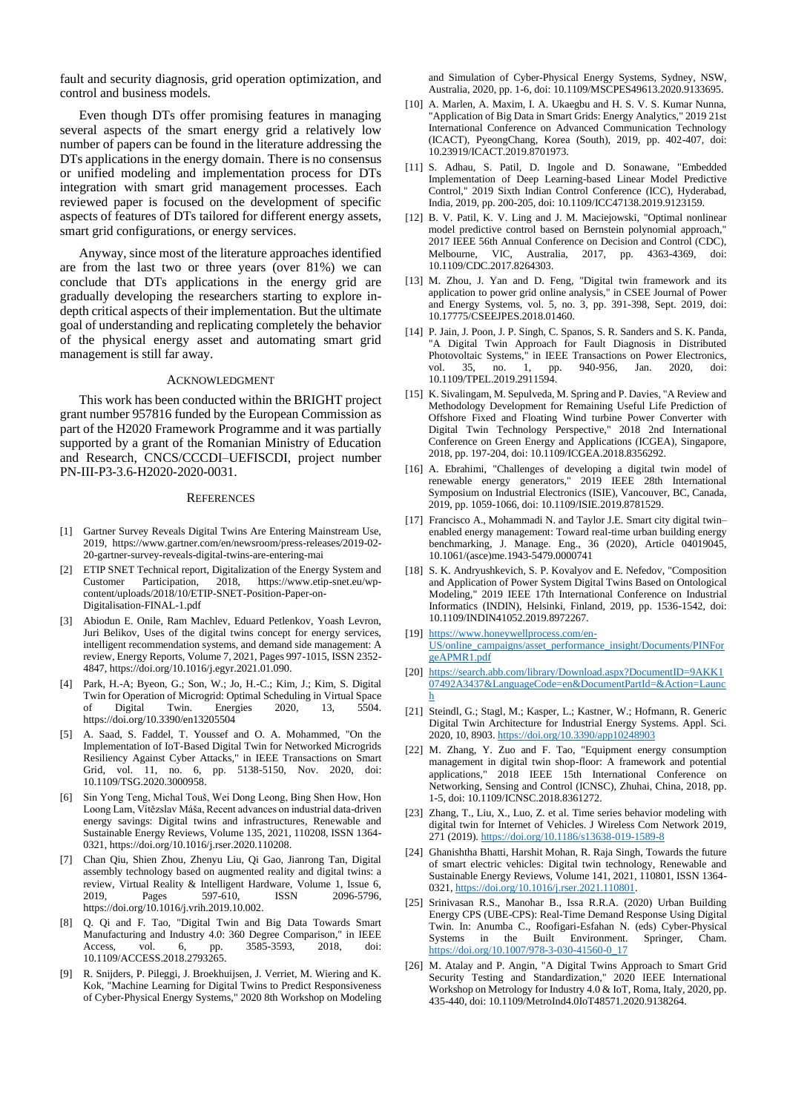fault and security diagnosis, grid operation optimization, and control and business models.

Even though DTs offer promising features in managing several aspects of the smart energy grid a relatively low number of papers can be found in the literature addressing the DTs applications in the energy domain. There is no consensus or unified modeling and implementation process for DTs integration with smart grid management processes. Each reviewed paper is focused on the development of specific aspects of features of DTs tailored for different energy assets, smart grid configurations, or energy services.

Anyway, since most of the literature approaches identified are from the last two or three years (over 81%) we can conclude that DTs applications in the energy grid are gradually developing the researchers starting to explore indepth critical aspects of their implementation. But the ultimate goal of understanding and replicating completely the behavior of the physical energy asset and automating smart grid management is still far away.

#### ACKNOWLEDGMENT

This work has been conducted within the BRIGHT project grant number 957816 funded by the European Commission as part of the H2020 Framework Programme and it was partially supported by a grant of the Romanian Ministry of Education and Research, CNCS/CCCDI–UEFISCDI, project number PN-III-P3-3.6-H2020-2020-0031.

## **REFERENCES**

- [1] Gartner Survey Reveals Digital Twins Are Entering Mainstream Use, 2019, https://www.gartner.com/en/newsroom/press-releases/2019-02- 20-gartner-survey-reveals-digital-twins-are-entering-mai
- [2] ETIP SNET Technical report, Digitalization of the Energy System and Customer Participation, 2018, https://www.etip-snet.eu/wpcontent/uploads/2018/10/ETIP-SNET-Position-Paper-on-Digitalisation-FINAL-1.pdf
- [3] Abiodun E. Onile, Ram Machlev, Eduard Petlenkov, Yoash Levron, Juri Belikov, Uses of the digital twins concept for energy services, intelligent recommendation systems, and demand side management: A review, Energy Reports, Volume 7, 2021, Pages 997-1015, ISSN 2352- 4847, https://doi.org/10.1016/j.egyr.2021.01.090.
- [4] Park, H.-A; Byeon, G.; Son, W.; Jo, H.-C.; Kim, J.; Kim, S. Digital Twin for Operation of Microgrid: Optimal Scheduling in Virtual Space Digital Twin. Energies 2020, 13, 5504. https://doi.org/10.3390/en13205504
- [5] A. Saad, S. Faddel, T. Youssef and O. A. Mohammed, "On the Implementation of IoT-Based Digital Twin for Networked Microgrids Resiliency Against Cyber Attacks," in IEEE Transactions on Smart Grid, vol. 11, no. 6, pp. 5138-5150, Nov. 2020, doi: 10.1109/TSG.2020.3000958.
- [6] Sin Yong Teng, Michal Touš, Wei Dong Leong, Bing Shen How, Hon Loong Lam, Vítězslav Máša, Recent advances on industrial data-driven energy savings: Digital twins and infrastructures, Renewable and Sustainable Energy Reviews, Volume 135, 2021, 110208, ISSN 1364- 0321, https://doi.org/10.1016/j.rser.2020.110208.
- [7] Chan Qiu, Shien Zhou, Zhenyu Liu, Qi Gao, Jianrong Tan, Digital assembly technology based on augmented reality and digital twins: a review, Virtual Reality & Intelligent Hardware, Volume 1, Issue 6, 2019, Pages 597-610, ISSN 2096-5796, https://doi.org/10.1016/j.vrih.2019.10.002.
- [8] Q. Qi and F. Tao, "Digital Twin and Big Data Towards Smart Manufacturing and Industry 4.0: 360 Degree Comparison," in IEEE Access, vol. 6, pp. 3585-3593, 2018, doi: 10.1109/ACCESS.2018.2793265.
- R. Snijders, P. Pileggi, J. Broekhuijsen, J. Verriet, M. Wiering and K. Kok, "Machine Learning for Digital Twins to Predict Responsiveness of Cyber-Physical Energy Systems," 2020 8th Workshop on Modeling

and Simulation of Cyber-Physical Energy Systems, Sydney, NSW, Australia, 2020, pp. 1-6, doi: 10.1109/MSCPES49613.2020.9133695.

- [10] A. Marlen, A. Maxim, I. A. Ukaegbu and H. S. V. S. Kumar Nunna, "Application of Big Data in Smart Grids: Energy Analytics," 2019 21st International Conference on Advanced Communication Technology (ICACT), PyeongChang, Korea (South), 2019, pp. 402-407, doi: 10.23919/ICACT.2019.8701973.
- [11] S. Adhau, S. Patil, D. Ingole and D. Sonawane, "Embedded Implementation of Deep Learning-based Linear Model Predictive Control," 2019 Sixth Indian Control Conference (ICC), Hyderabad, India, 2019, pp. 200-205, doi: 10.1109/ICC47138.2019.9123159.
- [12] B. V. Patil, K. V. Ling and J. M. Maciejowski, "Optimal nonlinear model predictive control based on Bernstein polynomial approach," 2017 IEEE 56th Annual Conference on Decision and Control (CDC), Melbourne, VIC, Australia, 2017, pp. 4363-4369, doi: 10.1109/CDC.2017.8264303.
- [13] M. Zhou, J. Yan and D. Feng, "Digital twin framework and its application to power grid online analysis," in CSEE Journal of Power and Energy Systems, vol. 5, no. 3, pp. 391-398, Sept. 2019, doi: 10.17775/CSEEJPES.2018.01460.
- [14] P. Jain, J. Poon, J. P. Singh, C. Spanos, S. R. Sanders and S. K. Panda, "A Digital Twin Approach for Fault Diagnosis in Distributed Photovoltaic Systems," in IEEE Transactions on Power Electronics, vol. 35, no. 1, pp. 940-956, Jan. 2020, doi: pp. 940-956, Jan. 2020, doi: 10.1109/TPEL.2019.2911594.
- [15] K. Sivalingam, M. Sepulveda, M. Spring and P. Davies, "A Review and Methodology Development for Remaining Useful Life Prediction of Offshore Fixed and Floating Wind turbine Power Converter with Digital Twin Technology Perspective," 2018 2nd International Conference on Green Energy and Applications (ICGEA), Singapore, 2018, pp. 197-204, doi: 10.1109/ICGEA.2018.8356292.
- [16] A. Ebrahimi, "Challenges of developing a digital twin model of renewable energy generators," 2019 IEEE 28th International Symposium on Industrial Electronics (ISIE), Vancouver, BC, Canada, 2019, pp. 1059-1066, doi: 10.1109/ISIE.2019.8781529.
- [17] Francisco A., Mohammadi N. and Taylor J.E. Smart city digital twin– enabled energy management: Toward real-time urban building energy benchmarking, J. Manage. Eng., 36 (2020), Article 04019045, 10.1061/(asce)me.1943-5479.0000741
- [18] S. K. Andryushkevich, S. P. Kovalyov and E. Nefedov, "Composition and Application of Power System Digital Twins Based on Ontological Modeling," 2019 IEEE 17th International Conference on Industrial Informatics (INDIN), Helsinki, Finland, 2019, pp. 1536-1542, doi: 10.1109/INDIN41052.2019.8972267.
- [19] [https://www.honeywellprocess.com/en-](https://www.honeywellprocess.com/en-US/online_campaigns/asset_performance_insight/Documents/PINForgeAPMR1.pdf)[US/online\\_campaigns/asset\\_performance\\_insight/Documents/PINFor](https://www.honeywellprocess.com/en-US/online_campaigns/asset_performance_insight/Documents/PINForgeAPMR1.pdf)
- [geAPMR1.pdf](https://www.honeywellprocess.com/en-US/online_campaigns/asset_performance_insight/Documents/PINForgeAPMR1.pdf) [20] [https://search.abb.com/library/Download.aspx?DocumentID=9AKK1](https://search.abb.com/library/Download.aspx?DocumentID=9AKK107492A3437&LanguageCode=en&DocumentPartId=&Action=Launch) [07492A3437&LanguageCode=en&DocumentPartId=&Action=Launc](https://search.abb.com/library/Download.aspx?DocumentID=9AKK107492A3437&LanguageCode=en&DocumentPartId=&Action=Launch)
- [h](https://search.abb.com/library/Download.aspx?DocumentID=9AKK107492A3437&LanguageCode=en&DocumentPartId=&Action=Launch) [21] Steindl, G.; Stagl, M.; Kasper, L.; Kastner, W.; Hofmann, R. Generic
- Digital Twin Architecture for Industrial Energy Systems. Appl. Sci. 2020, 10, 8903[. https://doi.org/10.3390/app10248903](https://doi.org/10.3390/app10248903)
- [22] M. Zhang, Y. Zuo and F. Tao, "Equipment energy consumption management in digital twin shop-floor: A framework and potential applications," 2018 IEEE 15th International Conference on Networking, Sensing and Control (ICNSC), Zhuhai, China, 2018, pp. 1-5, doi: 10.1109/ICNSC.2018.8361272.
- [23] Zhang, T., Liu, X., Luo, Z. et al. Time series behavior modeling with digital twin for Internet of Vehicles. J Wireless Com Network 2019, 271 (2019)[. https://doi.org/10.1186/s13638-019-1589-8](https://doi.org/10.1186/s13638-019-1589-8)
- [24] Ghanishtha Bhatti, Harshit Mohan, R. Raja Singh, Towards the future of smart electric vehicles: Digital twin technology, Renewable and Sustainable Energy Reviews, Volume 141, 2021, 110801, ISSN 1364- 0321[, https://doi.org/10.1016/j.rser.2021.110801.](https://doi.org/10.1016/j.rser.2021.110801)
- [25] Srinivasan R.S., Manohar B., Issa R.R.A. (2020) Urban Building Energy CPS (UBE-CPS): Real-Time Demand Response Using Digital Twin. In: Anumba C., Roofigari-Esfahan N. (eds) Cyber-Physical Systems in the Built Environment. Springer, Cham. [https://doi.org/10.1007/978-3-030-41560-0\\_17](https://doi.org/10.1007/978-3-030-41560-0_17)
- [26] M. Atalay and P. Angin, "A Digital Twins Approach to Smart Grid Security Testing and Standardization," 2020 IEEE International Workshop on Metrology for Industry 4.0 & IoT, Roma, Italy, 2020, pp. 435-440, doi: 10.1109/MetroInd4.0IoT48571.2020.9138264.